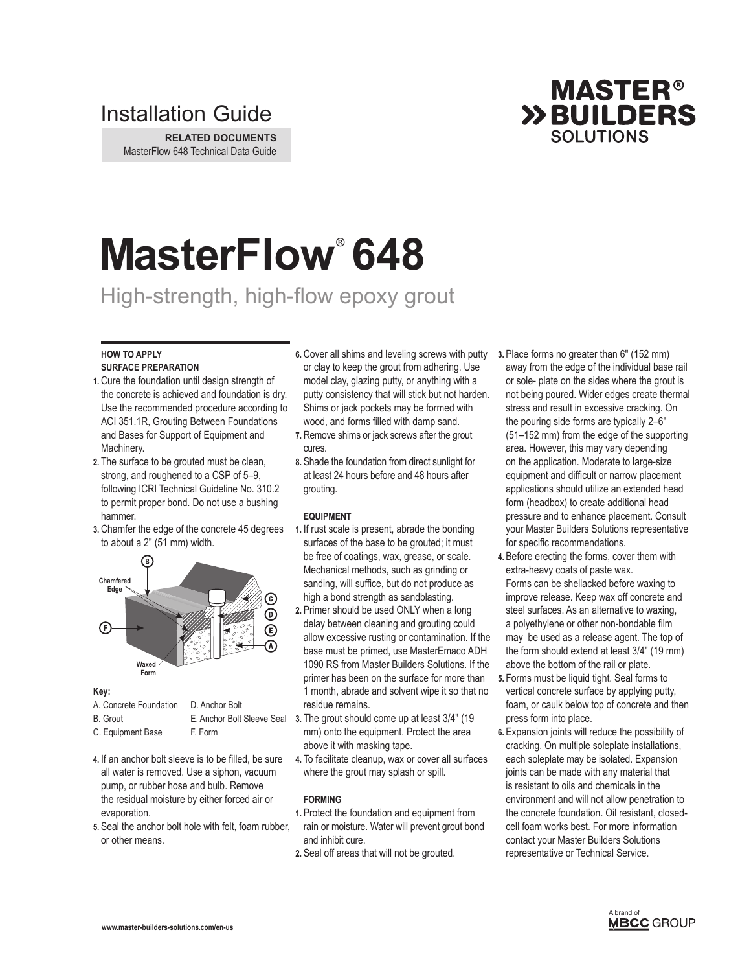# Installation Guide

**RELATED DOCUMENTS** MasterFlow 648 Technical Data Guide

# **MasterFlow® 648**

# High-strength, high-flow epoxy grout

## **HOW TO APPLY SURFACE PREPARATION**

- **1.** Cure the foundation until design strength of the concrete is achieved and foundation is dry. Use the recommended procedure according to ACI 351.1R, Grouting Between Foundations and Bases for Support of Equipment and Machinery.
- **2.** The surface to be grouted must be clean, strong, and roughened to a CSP of 5–9, following ICRI Technical Guideline No. 310.2 to permit proper bond. Do not use a bushing hammer.
- **3.** Chamfer the edge of the concrete 45 degrees to about a 2" (51 mm) width.



# **Key:**

| A. Concrete Foundation | D. Anchor Bolt             |   |
|------------------------|----------------------------|---|
| <b>B.</b> Grout        | E. Anchor Bolt Sleeve Seal | 3 |
| C. Equipment Base      | F. Form                    |   |

- **4.** If an anchor bolt sleeve is to be filled, be sure all water is removed. Use a siphon, vacuum pump, or rubber hose and bulb. Remove the residual moisture by either forced air or evaporation.
- **5.** Seal the anchor bolt hole with felt, foam rubber, or other means.
- 6. Cover all shims and leveling screws with putty 3. Place forms no greater than 6" (152 mm) or clay to keep the grout from adhering. Use model clay, glazing putty, or anything with a putty consistency that will stick but not harden. Shims or jack pockets may be formed with wood, and forms filled with damp sand.
- **7.** Remove shims or jack screws after the grout cures.
- **8.** Shade the foundation from direct sunlight for at least 24 hours before and 48 hours after grouting.

# **EQUIPMENT**

- **1.** If rust scale is present, abrade the bonding surfaces of the base to be grouted; it must be free of coatings, wax, grease, or scale. Mechanical methods, such as grinding or sanding, will suffice, but do not produce as high a bond strength as sandblasting.
- **2.** Primer should be used ONLY when a long delay between cleaning and grouting could allow excessive rusting or contamination. If the base must be primed, use MasterEmaco ADH 1090 RS from Master Builders Solutions. If the primer has been on the surface for more than 1 month, abrade and solvent wipe it so that no residue remains.
- **3.** The grout should come up at least 3/4" (19 mm) onto the equipment. Protect the area above it with masking tape.
- **4.** To facilitate cleanup, wax or cover all surfaces where the grout may splash or spill.

# **FORMING**

- **1.** Protect the foundation and equipment from rain or moisture. Water will prevent grout bond and inhibit cure.
- **2.** Seal off areas that will not be grouted.

away from the edge of the individual base rail or sole- plate on the sides where the grout is not being poured. Wider edges create thermal stress and result in excessive cracking. On the pouring side forms are typically 2–6" (51–152 mm) from the edge of the supporting area. However, this may vary depending on the application. Moderate to large-size equipment and difficult or narrow placement applications should utilize an extended head form (headbox) to create additional head pressure and to enhance placement. Consult your Master Builders Solutions representative for specific recommendations.

**MASTER® >>BUILDERS SOLUTIONS** 

- **4.** Before erecting the forms, cover them with extra-heavy coats of paste wax. Forms can be shellacked before waxing to improve release. Keep wax off concrete and steel surfaces. As an alternative to waxing, a polyethylene or other non-bondable film may be used as a release agent. The top of the form should extend at least 3/4" (19 mm) above the bottom of the rail or plate.
- **5.** Forms must be liquid tight. Seal forms to vertical concrete surface by applying putty, foam, or caulk below top of concrete and then press form into place.
- **6.** Expansion joints will reduce the possibility of cracking. On multiple soleplate installations, each soleplate may be isolated. Expansion joints can be made with any material that is resistant to oils and chemicals in the environment and will not allow penetration to the concrete foundation. Oil resistant, closedcell foam works best. For more information contact your Master Builders Solutions representative or Technical Service.

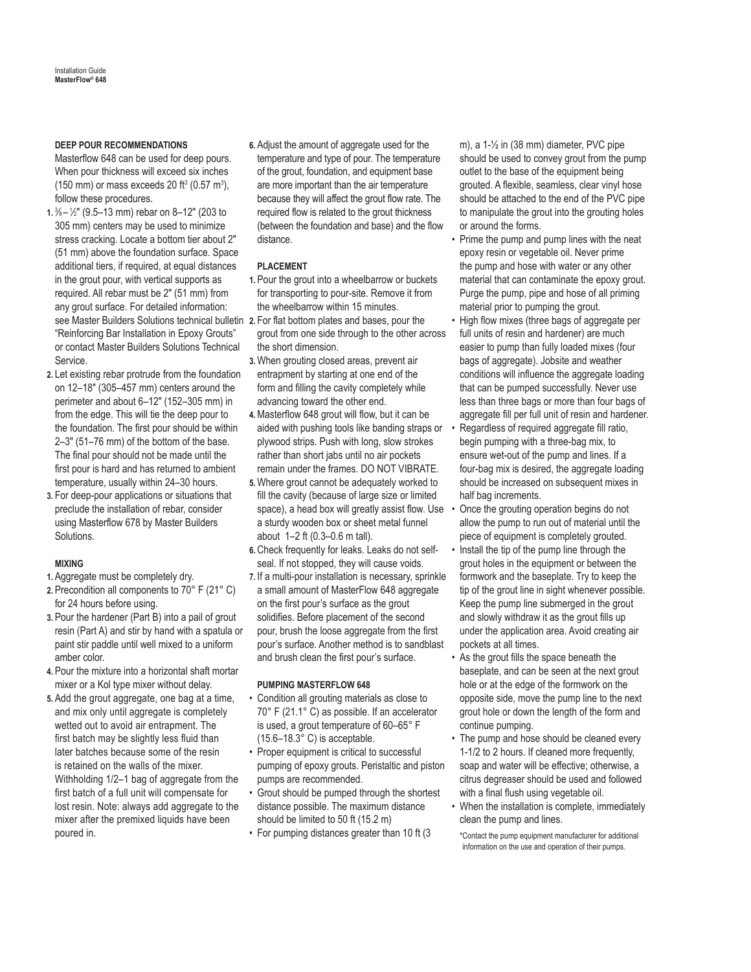# **DEEP POUR RECOMMENDATIONS**

Masterflow 648 can be used for deep pours. When pour thickness will exceed six inches  $(150 \text{ mm})$  or mass exceeds 20 ft<sup>3</sup>  $(0.57 \text{ m}^3)$ , follow these procedures.

- see Master Builders Solutions technical bulletin 2. For flat bottom plates and bases, pour the **1.** <sup>3</sup> ⁄8 – <sup>1</sup> ⁄2" (9.5–13 mm) rebar on 8–12" (203 to 305 mm) centers may be used to minimize stress cracking. Locate a bottom tier about 2" (51 mm) above the foundation surface. Space additional tiers, if required, at equal distances in the grout pour, with vertical supports as required. All rebar must be 2" (51 mm) from any grout surface. For detailed information: "Reinforcing Bar Installation in Epoxy Grouts" or contact Master Builders Solutions Technical Service.
- **2.** Let existing rebar protrude from the foundation on 12–18" (305–457 mm) centers around the perimeter and about 6–12" (152–305 mm) in from the edge. This will tie the deep pour to the foundation. The first pour should be within 2–3" (51–76 mm) of the bottom of the base. The final pour should not be made until the first pour is hard and has returned to ambient temperature, usually within 24–30 hours.
- **3.** For deep-pour applications or situations that preclude the installation of rebar, consider using Masterflow 678 by Master Builders Solutions.

#### **MIXING**

- **1.** Aggregate must be completely dry.
- **2.** Precondition all components to 70° F (21° C) for 24 hours before using.
- **3.** Pour the hardener (Part B) into a pail of grout resin (Part A) and stir by hand with a spatula or paint stir paddle until well mixed to a uniform amber color.
- **4.** Pour the mixture into a horizontal shaft mortar mixer or a Kol type mixer without delay.
- **5.** Add the grout aggregate, one bag at a time, and mix only until aggregate is completely wetted out to avoid air entrapment. The first batch may be slightly less fluid than later batches because some of the resin is retained on the walls of the mixer. Withholding 1/2–1 bag of aggregate from the first batch of a full unit will compensate for lost resin. Note: always add aggregate to the mixer after the premixed liquids have been poured in.

**6.** Adjust the amount of aggregate used for the temperature and type of pour. The temperature of the grout, foundation, and equipment base are more important than the air temperature because they will affect the grout flow rate. The required flow is related to the grout thickness (between the foundation and base) and the flow distance.

## **PLACEMENT**

- **1.** Pour the grout into a wheelbarrow or buckets for transporting to pour-site. Remove it from the wheelbarrow within 15 minutes.
- grout from one side through to the other across the short dimension.
- **3.**When grouting closed areas, prevent air entrapment by starting at one end of the form and filling the cavity completely while advancing toward the other end.
- **4.**Masterflow 648 grout will flow, but it can be aided with pushing tools like banding straps or plywood strips. Push with long, slow strokes rather than short jabs until no air pockets remain under the frames. DO NOT VIBRATE.
- **5.**Where grout cannot be adequately worked to fill the cavity (because of large size or limited space), a head box will greatly assist flow. Use a sturdy wooden box or sheet metal funnel about 1–2 ft (0.3–0.6 m tall).
- **6.** Check frequently for leaks. Leaks do not selfseal. If not stopped, they will cause voids.
- **7.** If a multi-pour installation is necessary, sprinkle a small amount of MasterFlow 648 aggregate on the first pour's surface as the grout solidifies. Before placement of the second pour, brush the loose aggregate from the first pour's surface. Another method is to sandblast and brush clean the first pour's surface.

## **PUMPING MASTERFLOW 648**

- Condition all grouting materials as close to 70° F (21.1° C) as possible. If an accelerator is used, a grout temperature of 60–65° F (15.6–18.3° C) is acceptable.
- Proper equipment is critical to successful pumping of epoxy grouts. Peristaltic and piston pumps are recommended.
- Grout should be pumped through the shortest distance possible. The maximum distance should be limited to 50 ft (15.2 m)
- For pumping distances greater than 10 ft (3

m), a 1-½ in (38 mm) diameter, PVC pipe should be used to convey grout from the pump outlet to the base of the equipment being grouted. A flexible, seamless, clear vinyl hose should be attached to the end of the PVC pipe to manipulate the grout into the grouting holes or around the forms.

- Prime the pump and pump lines with the neat epoxy resin or vegetable oil. Never prime the pump and hose with water or any other material that can contaminate the epoxy grout. Purge the pump, pipe and hose of all priming material prior to pumping the grout.
- High flow mixes (three bags of aggregate per full units of resin and hardener) are much easier to pump than fully loaded mixes (four bags of aggregate). Jobsite and weather conditions will influence the aggregate loading that can be pumped successfully. Never use less than three bags or more than four bags of aggregate fill per full unit of resin and hardener.
- Regardless of required aggregate fill ratio. begin pumping with a three-bag mix, to ensure wet-out of the pump and lines. If a four-bag mix is desired, the aggregate loading should be increased on subsequent mixes in half bag increments.
- Once the grouting operation begins do not allow the pump to run out of material until the piece of equipment is completely grouted.
- Install the tip of the pump line through the grout holes in the equipment or between the formwork and the baseplate. Try to keep the tip of the grout line in sight whenever possible. Keep the pump line submerged in the grout and slowly withdraw it as the grout fills up under the application area. Avoid creating air pockets at all times.
- As the grout fills the space beneath the baseplate, and can be seen at the next grout hole or at the edge of the formwork on the opposite side, move the pump line to the next grout hole or down the length of the form and continue pumping.
- The pump and hose should be cleaned every 1-1/2 to 2 hours. If cleaned more frequently, soap and water will be effective; otherwise, a citrus degreaser should be used and followed with a final flush using vegetable oil.
- When the installation is complete, immediately clean the pump and lines.

\*Contact the pump equipment manufacturer for additional information on the use and operation of their pumps.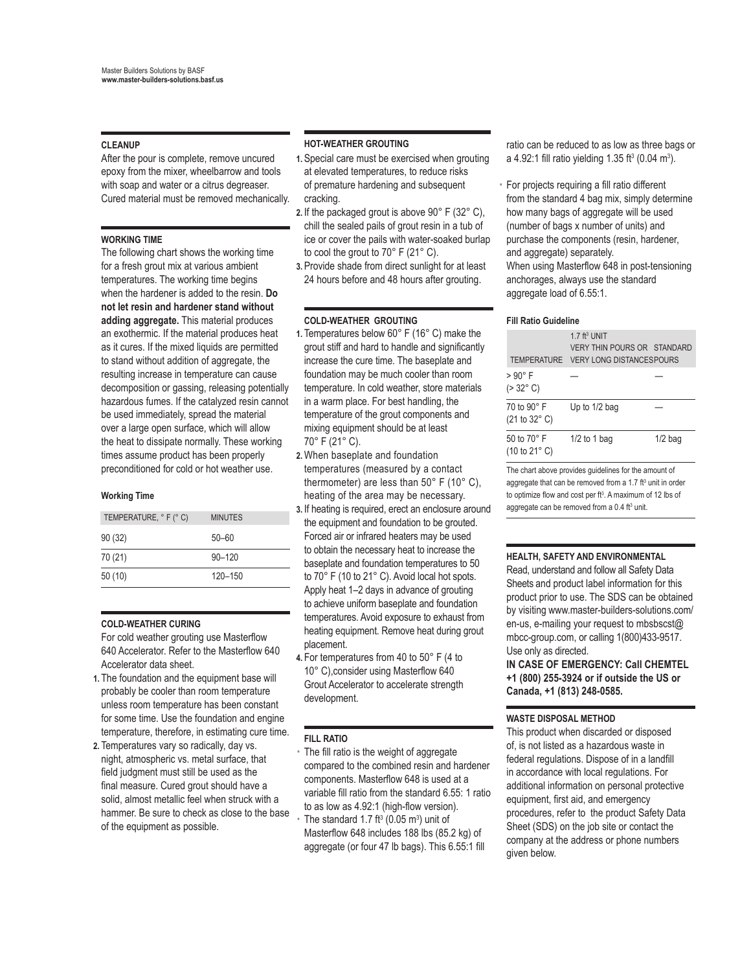# **CLEANUP**

After the pour is complete, remove uncured epoxy from the mixer, wheelbarrow and tools with soap and water or a citrus degreaser. Cured material must be removed mechanically.

#### **WORKING TIME**

The following chart shows the working time for a fresh grout mix at various ambient temperatures. The working time begins when the hardener is added to the resin. **Do not let resin and hardener stand without adding aggregate.** This material produces an exothermic. If the material produces heat as it cures. If the mixed liquids are permitted to stand without addition of aggregate, the resulting increase in temperature can cause decomposition or gassing, releasing potentially hazardous fumes. If the catalyzed resin cannot be used immediately, spread the material over a large open surface, which will allow the heat to dissipate normally. These working times assume product has been properly preconditioned for cold or hot weather use.

#### **Working Time**

| TEMPERATURE, ° F (° C) | <b>MINUTES</b> |
|------------------------|----------------|
| 90(32)                 | $50 - 60$      |
| 70 (21)                | $90 - 120$     |
| 50(10)                 | 120-150        |

#### **COLD-WEATHER CURING**

For cold weather grouting use Masterflow 640 Accelerator. Refer to the Masterflow 640 Accelerator data sheet.

- **1.** The foundation and the equipment base will probably be cooler than room temperature unless room temperature has been constant for some time. Use the foundation and engine temperature, therefore, in estimating cure time.
- **2.** Temperatures vary so radically, day vs. night, atmospheric vs. metal surface, that field judgment must still be used as the final measure. Cured grout should have a solid, almost metallic feel when struck with a hammer. Be sure to check as close to the base of the equipment as possible.

#### **HOT-WEATHER GROUTING**

- **1.** Special care must be exercised when grouting at elevated temperatures, to reduce risks of premature hardening and subsequent cracking.
- **2.** If the packaged grout is above 90° F (32° C), chill the sealed pails of grout resin in a tub of ice or cover the pails with water-soaked burlap to cool the grout to 70° F (21° C).
- **3.** Provide shade from direct sunlight for at least 24 hours before and 48 hours after grouting.

#### **COLD-WEATHER GROUTING**

- **1.** Temperatures below 60° F (16° C) make the grout stiff and hard to handle and significantly increase the cure time. The baseplate and foundation may be much cooler than room temperature. In cold weather, store materials in a warm place. For best handling, the temperature of the grout components and mixing equipment should be at least 70° F (21° C).
- **2.**When baseplate and foundation temperatures (measured by a contact thermometer) are less than 50° F (10° C), heating of the area may be necessary.
- **3.** If heating is required, erect an enclosure around the equipment and foundation to be grouted. Forced air or infrared heaters may be used to obtain the necessary heat to increase the baseplate and foundation temperatures to 50 to 70° F (10 to 21° C). Avoid local hot spots. Apply heat 1–2 days in advance of grouting to achieve uniform baseplate and foundation temperatures. Avoid exposure to exhaust from heating equipment. Remove heat during grout placement.
- **4.** For temperatures from 40 to 50° F (4 to 10° C),consider using Masterflow 640 Grout Accelerator to accelerate strength development.

#### **FILL RATIO**

The fill ratio is the weight of aggregate compared to the combined resin and hardener components. Masterflow 648 is used at a variable fill ratio from the standard 6.55: 1 ratio to as low as 4.92:1 (high-flow version).  $\cdot$  The standard 1.7 ft<sup>3</sup> (0.05 m<sup>3</sup>) unit of Masterflow 648 includes 188 lbs (85.2 kg) of aggregate (or four 47 lb bags). This 6.55:1 fill

ratio can be reduced to as low as three bags or a 4.92:1 fill ratio yielding 1.35 ft<sup>3</sup> (0.04 m<sup>3</sup>).

• For projects requiring a fill ratio different from the standard 4 bag mix, simply determine how many bags of aggregate will be used (number of bags x number of units) and purchase the components (resin, hardener, and aggregate) separately. When using Masterflow 648 in post-tensioning anchorages, always use the standard aggregate load of 6.55:1.

#### **Fill Ratio Guideline**

| TEMPERATURE                            | $1.7$ ft <sup>3</sup> UNIT<br><b>VERY THIN POURS OR STANDARD</b><br><b>VERY LONG DISTANCESPOURS</b> |           |
|----------------------------------------|-----------------------------------------------------------------------------------------------------|-----------|
| > 90° F<br>$( > 32^{\circ} \text{ C})$ |                                                                                                     |           |
| 70 to 90° F<br>(21 to 32° C)           | Up to 1/2 bag                                                                                       |           |
| 50 to 70° F<br>(10 to 21° C)           | $1/2$ to 1 bag                                                                                      | $1/2$ bag |
|                                        |                                                                                                     |           |

The chart above provides guidelines for the amount of aggregate that can be removed from a 1.7 ft<sup>3</sup> unit in order to optimize flow and cost per ft<sup>3</sup>. A maximum of 12 lbs of aggregate can be removed from a  $0.4$  ft<sup>3</sup> unit.

#### **HEALTH, SAFETY AND ENVIRONMENTAL**

Read, understand and follow all Safety Data Sheets and product label information for this product prior to use. The SDS can be obtained by visiting www.master-builders-solutions.com/ en-us, e-mailing your request to mbsbscst@ mbcc-group.com, or calling 1(800)433-9517. Use only as directed.

**IN CASE OF EMERGENCY: Call CHEMTEL +1 (800) 255-3924 or if outside the US or Canada, +1 (813) 248-0585.**

#### **WASTE DISPOSAL METHOD**

This product when discarded or disposed of, is not listed as a hazardous waste in federal regulations. Dispose of in a landfill in accordance with local regulations. For additional information on personal protective equipment, first aid, and emergency procedures, refer to the product Safety Data Sheet (SDS) on the job site or contact the company at the address or phone numbers given below.